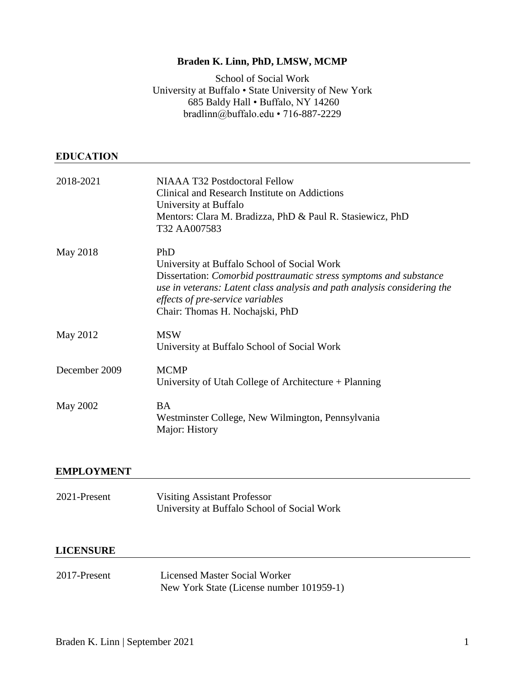# **Braden K. Linn, PhD, LMSW, MCMP**

School of Social Work University at Buffalo • State University of New York 685 Baldy Hall • Buffalo, NY 14260 bradlinn@buffalo.edu • 716-887-2229

## **EDUCATION**

| 2018-2021     | NIAAA T32 Postdoctoral Fellow<br>Clinical and Research Institute on Addictions<br>University at Buffalo<br>Mentors: Clara M. Bradizza, PhD & Paul R. Stasiewicz, PhD<br>T32 AA007583                                                                                        |
|---------------|-----------------------------------------------------------------------------------------------------------------------------------------------------------------------------------------------------------------------------------------------------------------------------|
| May 2018      | PhD<br>University at Buffalo School of Social Work<br>Dissertation: Comorbid posttraumatic stress symptoms and substance<br>use in veterans: Latent class analysis and path analysis considering the<br>effects of pre-service variables<br>Chair: Thomas H. Nochajski, PhD |
| May 2012      | <b>MSW</b><br>University at Buffalo School of Social Work                                                                                                                                                                                                                   |
| December 2009 | <b>MCMP</b><br>University of Utah College of Architecture + Planning                                                                                                                                                                                                        |
| May 2002      | <b>BA</b><br>Westminster College, New Wilmington, Pennsylvania<br>Major: History                                                                                                                                                                                            |

# **EMPLOYMENT**

| 2021-Present | Visiting Assistant Professor                |
|--------------|---------------------------------------------|
|              | University at Buffalo School of Social Work |

#### **LICENSURE**

2017-Present Licensed Master Social Worker New York State (License number 101959-1)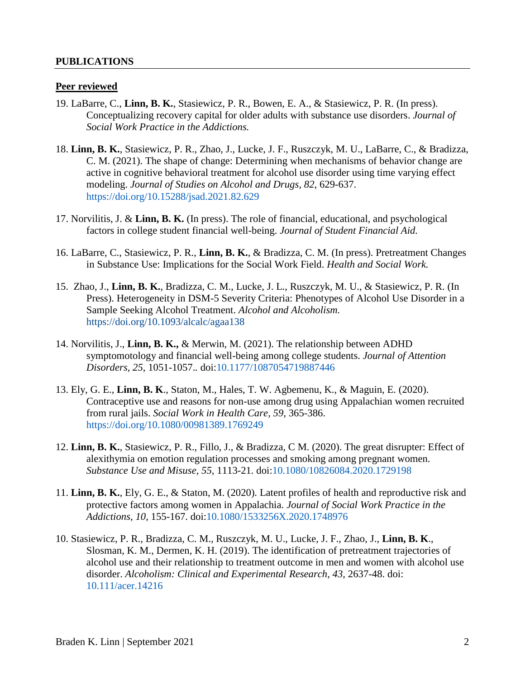# **PUBLICATIONS**

## **Peer reviewed**

- 19. LaBarre, C., **Linn, B. K.**, Stasiewicz, P. R., Bowen, E. A., & Stasiewicz, P. R. (In press). Conceptualizing recovery capital for older adults with substance use disorders. *Journal of Social Work Practice in the Addictions.*
- 18. **Linn, B. K.**, Stasiewicz, P. R., Zhao, J., Lucke, J. F., Ruszczyk, M. U., LaBarre, C., & Bradizza, C. M. (2021). The shape of change: Determining when mechanisms of behavior change are active in cognitive behavioral treatment for alcohol use disorder using time varying effect modeling. *Journal of Studies on Alcohol and Drugs, 82*, 629-637. [https://doi.org/10.15288/jsad.2021.82.629](https://www.jsad.com/doi/abs/10.15288/jsad.2021.82.629)
- 17. Norvilitis, J. & **Linn, B. K.** (In press). The role of financial, educational, and psychological factors in college student financial well-being. *Journal of Student Financial Aid.*
- 16. LaBarre, C., Stasiewicz, P. R., **Linn, B. K.**, & Bradizza, C. M. (In press). Pretreatment Changes in Substance Use: Implications for the Social Work Field. *Health and Social Work.*
- 15. Zhao, J., **Linn, B. K.**, Bradizza, C. M., Lucke, J. L., Ruszczyk, M. U., & Stasiewicz, P. R. (In Press). Heterogeneity in DSM-5 Severity Criteria: Phenotypes of Alcohol Use Disorder in a Sample Seeking Alcohol Treatment. *Alcohol and Alcoholism.* <https://doi.org/10.1093/alcalc/agaa138>
- 14. Norvilitis, J., **Linn, B. K.,** & Merwin, M. (2021). The relationship between ADHD symptomotology and financial well-being among college students. *Journal of Attention Disorders, 25*, 1051-1057.*.* doi[:10.1177/1087054719887446](https://journals.sagepub.com/doi/pdf/10.1177/1087054719887446)
- 13. Ely, G. E., **Linn, B. K**., Staton, M., Hales, T. W. Agbemenu, K., & Maguin, E. (2020). Contraceptive use and reasons for non-use among drug using Appalachian women recruited from rural jails. *Social Work in Health Care, 59*, 365-386. [https://doi.org/10.1080/00981389.1769249](https://www.tandfonline.com/doi/abs/10.1080/00981389.2020.1769249)
- 12. **Linn, B. K.**, Stasiewicz, P. R., Fillo, J., & Bradizza, C M. (2020). The great disrupter: Effect of alexithymia on emotion regulation processes and smoking among pregnant women. *Substance Use and Misuse, 55,* 1113-21*.* doi[:10.1080/10826084.2020.1729198](https://www.tandfonline.com/doi/abs/10.1080/10826084.2020.1729198?journalCode=isum20)
- 11. **Linn, B. K.**, Ely, G. E., & Staton, M. (2020). Latent profiles of health and reproductive risk and protective factors among women in Appalachia. *Journal of Social Work Practice in the Addictions, 10,* 155-167. doi[:10.1080/1533256X.2020.1748976](https://www.tandfonline.com/doi/abs/10.1080/1533256X.2020.1748976)
- 10. Stasiewicz, P. R., Bradizza, C. M., Ruszczyk, M. U., Lucke, J. F., Zhao, J., **Linn, B. K**., Slosman, K. M., Dermen, K. H. (2019). The identification of pretreatment trajectories of alcohol use and their relationship to treatment outcome in men and women with alcohol use disorder. *Alcoholism: Clinical and Experimental Research, 43,* 2637-48. doi: [10.111/acer.14216](https://onlinelibrary.wiley.com/doi/abs/10.1111/acer.14216)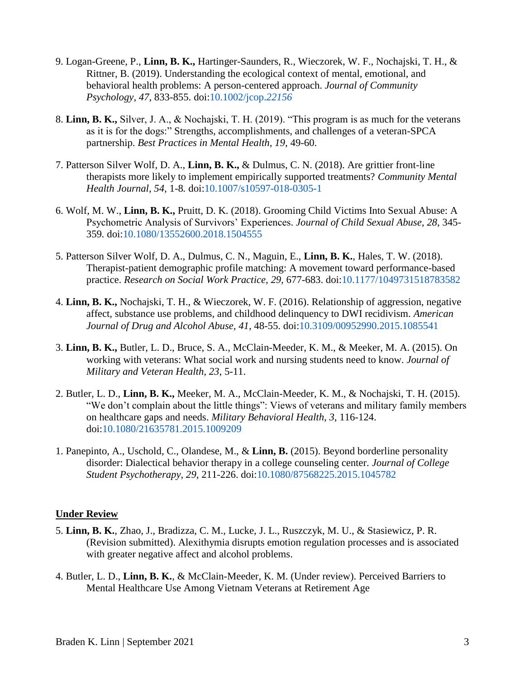- 9. Logan-Greene, P., **Linn, B. K.,** Hartinger-Saunders, R., Wieczorek, W. F., Nochajski, T. H., & Rittner, B. (2019). Understanding the ecological context of mental, emotional, and behavioral health problems: A person-centered approach. *Journal of Community Psychology, 47,* 833-855. doi[:10.1002/jcop.](https://onlinelibrary.wiley.com/doi/abs/10.1002/jcop.22156)*22156*
- 8. **Linn, B. K.,** Silver, J. A., & Nochajski, T. H. (2019). "This program is as much for the veterans as it is for the dogs:" Strengths, accomplishments, and challenges of a veteran-SPCA partnership. *Best Practices in Mental Health, 19*, 49-60.
- 7. Patterson Silver Wolf, D. A., **Linn, B. K.,** & Dulmus, C. N. (2018). Are grittier front-line therapists more likely to implement empirically supported treatments? *Community Mental Health Journal, 54,* 1-8*.* doi[:10.1007/s10597-018-0305-1](https://link.springer.com/article/10.1007/s10597-018-0305-1)
- 6. Wolf, M. W., **Linn, B. K.,** Pruitt, D. K. (2018). Grooming Child Victims Into Sexual Abuse: A Psychometric Analysis of Survivors' Experiences. *Journal of Child Sexual Abuse, 28*, 345- 359*.* doi[:10.1080/13552600.2018.1504555](https://www.tandfonline.com/doi/abs/10.1080/13552600.2018.1504555?journalCode=tjsa20)
- 5. Patterson Silver Wolf, D. A., Dulmus, C. N., Maguin, E., **Linn, B. K.**, Hales, T. W. (2018). Therapist-patient demographic profile matching: A movement toward performance-based practice. *Research on Social Work Practice, 29,* 677-683. doi[:10.1177/1049731518783582](https://journals.sagepub.com/doi/abs/10.1177/1049731518783582)
- 4. **Linn, B. K.,** Nochajski, T. H., & Wieczorek, W. F. (2016). Relationship of aggression, negative affect, substance use problems, and childhood delinquency to DWI recidivism. *American Journal of Drug and Alcohol Abuse, 41*, 48-55. doi[:10.3109/00952990.2015.1085541](http://www.tandfonline.com/doi/full/10.3109/00952990.2015.1085541)
- 3. **Linn, B. K.,** Butler, L. D., Bruce, S. A., McClain-Meeder, K. M., & Meeker, M. A. (2015). On working with veterans: What social work and nursing students need to know. *Journal of Military and Veteran Health, 23*, 5-11.
- 2. Butler, L. D., **Linn, B. K.,** Meeker, M. A., McClain-Meeder, K. M., & Nochajski, T. H. (2015). "We don't complain about the little things": Views of veterans and military family members on healthcare gaps and needs. *Military Behavioral Health, 3*, 116-124. doi[:10.1080/21635781.2015.1009209](http://www.tandfonline.com/doi/full/10.1080/21635781.2015.1009209)
- 1. Panepinto, A., Uschold, C., Olandese, M., & **Linn, B.** (2015). Beyond borderline personality disorder: Dialectical behavior therapy in a college counseling center*. Journal of College Student Psychotherapy, 29*, 211-226. doi[:10.1080/87568225.2015.1045782](http://www.tandfonline.com/doi/full/10.1080/87568225.2015.1045782)

# **Under Review**

- 5. **Linn, B. K.**, Zhao, J., Bradizza, C. M., Lucke, J. L., Ruszczyk, M. U., & Stasiewicz, P. R. (Revision submitted). Alexithymia disrupts emotion regulation processes and is associated with greater negative affect and alcohol problems.
- 4. Butler, L. D., **Linn, B. K.**, & McClain-Meeder, K. M. (Under review). Perceived Barriers to Mental Healthcare Use Among Vietnam Veterans at Retirement Age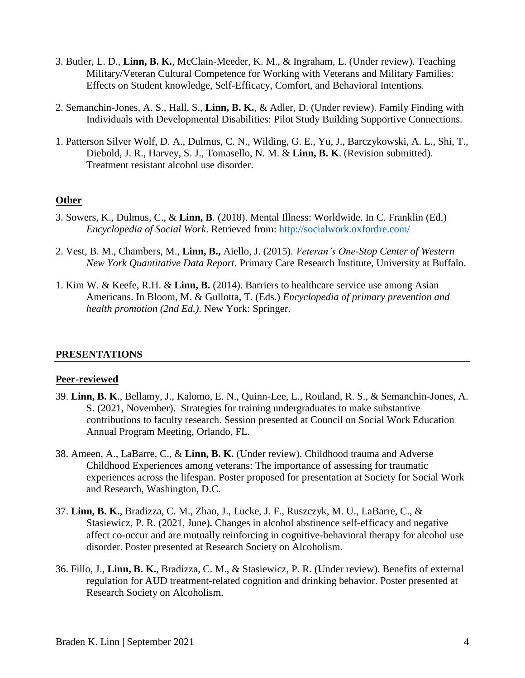- 3. Butler, L. D., **Linn, B. K.**, McClain-Meeder, K. M., & Ingraham, L. (Under review). Teaching Military/Veteran Cultural Competence for Working with Veterans and Military Families: Effects on Student knowledge, Self-Efficacy, Comfort, and Behavioral Intentions.
- 2. Semanchin-Jones, A. S., Hall, S., **Linn, B. K.**, & Adler, D. (Under review). Family Finding with Individuals with Developmental Disabilities: Pilot Study Building Supportive Connections.
- 1. Patterson Silver Wolf, D. A., Dulmus, C. N., Wilding, G. E., Yu, J., Barczykowski, A. L., Shi, T., Diebold, J. R., Harvey, S. J., Tomasello, N. M. & **Linn, B. K**. (Revision submitted). Treatment resistant alcohol use disorder.

# **Other**

- 3. Sowers, K., Dulmus, C., & **Linn, B**. (2018). Mental Illness: Worldwide. In C. Franklin (Ed.) *Encyclopedia of Social Work*. Retrieved from:<http://socialwork.oxfordre.com/>
- 2. Vest, B. M., Chambers, M., **Linn, B.,** Aiello, J. (2015). *Veteran's One-Stop Center of Western New York Quantitative Data Report*. Primary Care Research Institute, University at Buffalo.
- 1. Kim W. & Keefe, R.H. & **Linn, B.** (2014). Barriers to healthcare service use among Asian Americans. In Bloom, M. & Gullotta, T. (Eds.) *Encyclopedia of primary prevention and health promotion (2nd Ed.)*. New York: Springer.

# **PRESENTATIONS**

#### **Peer-reviewed**

- 39. **Linn, B. K**., Bellamy, J., Kalomo, E. N., Quinn-Lee, L., Rouland, R. S., & Semanchin-Jones, A. S. (2021, November). Strategies for training undergraduates to make substantive contributions to faculty research. Session presented at Council on Social Work Education Annual Program Meeting, Orlando, FL.
- 38. Ameen, A., LaBarre, C., & **Linn, B. K.** (Under review). Childhood trauma and Adverse Childhood Experiences among veterans: The importance of assessing for traumatic experiences across the lifespan. Poster proposed for presentation at Society for Social Work and Research, Washington, D.C.
- 37. **Linn, B. K.**, Bradizza, C. M., Zhao, J., Lucke, J. F., Ruszczyk, M. U., LaBarre, C., & Stasiewicz, P. R. (2021, June). Changes in alcohol abstinence self-efficacy and negative affect co-occur and are mutually reinforcing in cognitive-behavioral therapy for alcohol use disorder. Poster presented at Research Society on Alcoholism.
- 36. Fillo, J., **Linn, B. K.**, Bradizza, C. M., & Stasiewicz, P. R. (Under review). Benefits of external regulation for AUD treatment-related cognition and drinking behavior. Poster presented at Research Society on Alcoholism.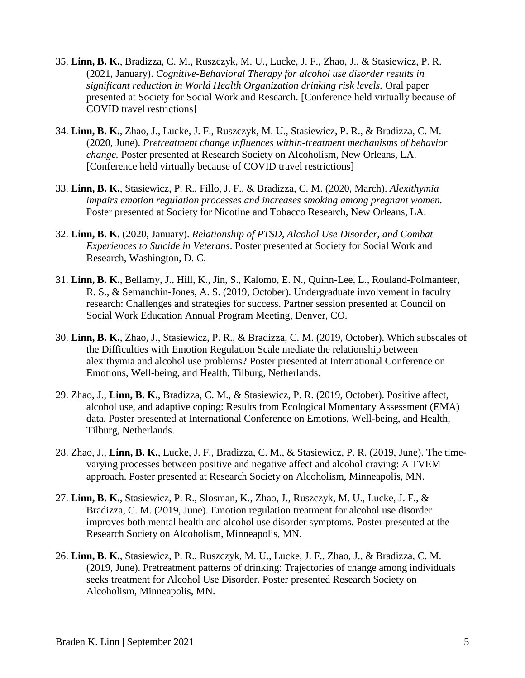- 35. **Linn, B. K.**, Bradizza, C. M., Ruszczyk, M. U., Lucke, J. F., Zhao, J., & Stasiewicz, P. R. (2021, January). *Cognitive-Behavioral Therapy for alcohol use disorder results in significant reduction in World Health Organization drinking risk levels.* Oral paper presented at Society for Social Work and Research. [Conference held virtually because of COVID travel restrictions]
- 34. **Linn, B. K.**, Zhao, J., Lucke, J. F., Ruszczyk, M. U., Stasiewicz, P. R., & Bradizza, C. M. (2020, June). *Pretreatment change influences within-treatment mechanisms of behavior change.* Poster presented at Research Society on Alcoholism, New Orleans, LA. [Conference held virtually because of COVID travel restrictions]
- 33. **Linn, B. K.**, Stasiewicz, P. R., Fillo, J. F., & Bradizza, C. M. (2020, March). *Alexithymia impairs emotion regulation processes and increases smoking among pregnant women.* Poster presented at Society for Nicotine and Tobacco Research, New Orleans, LA.
- 32. **Linn, B. K.** (2020, January). *Relationship of PTSD, Alcohol Use Disorder, and Combat Experiences to Suicide in Veterans*. Poster presented at Society for Social Work and Research, Washington, D. C.
- 31. **Linn, B. K.**, Bellamy, J., Hill, K., Jin, S., Kalomo, E. N., Quinn-Lee, L., Rouland-Polmanteer, R. S., & Semanchin-Jones, A. S. (2019, October). Undergraduate involvement in faculty research: Challenges and strategies for success. Partner session presented at Council on Social Work Education Annual Program Meeting, Denver, CO.
- 30. **Linn, B. K.**, Zhao, J., Stasiewicz, P. R., & Bradizza, C. M. (2019, October). Which subscales of the Difficulties with Emotion Regulation Scale mediate the relationship between alexithymia and alcohol use problems? Poster presented at International Conference on Emotions, Well-being, and Health, Tilburg, Netherlands.
- 29. Zhao, J., **Linn, B. K.**, Bradizza, C. M., & Stasiewicz, P. R. (2019, October). Positive affect, alcohol use, and adaptive coping: Results from Ecological Momentary Assessment (EMA) data. Poster presented at International Conference on Emotions, Well-being, and Health, Tilburg, Netherlands.
- 28. Zhao, J., **Linn, B. K.**, Lucke, J. F., Bradizza, C. M., & Stasiewicz, P. R. (2019, June). The timevarying processes between positive and negative affect and alcohol craving: A TVEM approach. Poster presented at Research Society on Alcoholism, Minneapolis, MN.
- 27. **Linn, B. K.**, Stasiewicz, P. R., Slosman, K., Zhao, J., Ruszczyk, M. U., Lucke, J. F., & Bradizza, C. M. (2019, June). Emotion regulation treatment for alcohol use disorder improves both mental health and alcohol use disorder symptoms*.* Poster presented at the Research Society on Alcoholism, Minneapolis, MN.
- 26. **Linn, B. K.**, Stasiewicz, P. R., Ruszczyk, M. U., Lucke, J. F., Zhao, J., & Bradizza, C. M. (2019, June). Pretreatment patterns of drinking: Trajectories of change among individuals seeks treatment for Alcohol Use Disorder. Poster presented Research Society on Alcoholism, Minneapolis, MN.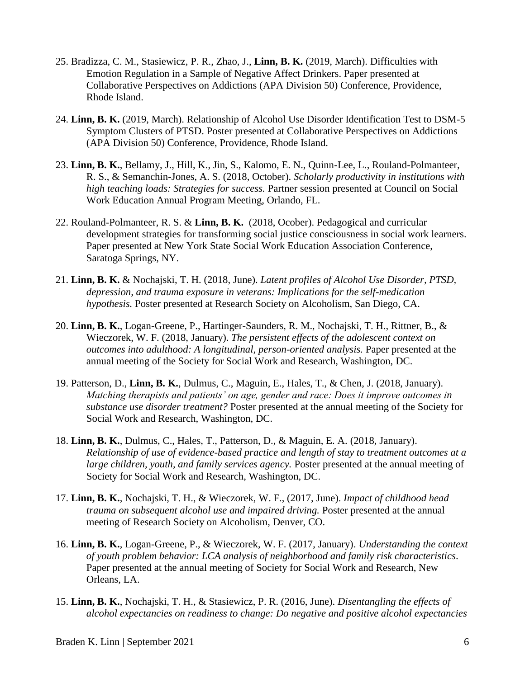- 25. Bradizza, C. M., Stasiewicz, P. R., Zhao, J., **Linn, B. K.** (2019, March). Difficulties with Emotion Regulation in a Sample of Negative Affect Drinkers. Paper presented at Collaborative Perspectives on Addictions (APA Division 50) Conference, Providence, Rhode Island.
- 24. **Linn, B. K.** (2019, March). Relationship of Alcohol Use Disorder Identification Test to DSM-5 Symptom Clusters of PTSD. Poster presented at Collaborative Perspectives on Addictions (APA Division 50) Conference, Providence, Rhode Island.
- 23. **Linn, B. K.**, Bellamy, J., Hill, K., Jin, S., Kalomo, E. N., Quinn-Lee, L., Rouland-Polmanteer, R. S., & Semanchin-Jones, A. S. (2018, October). *Scholarly productivity in institutions with high teaching loads: Strategies for success.* Partner session presented at Council on Social Work Education Annual Program Meeting, Orlando, FL.
- 22. Rouland-Polmanteer, R. S. & **Linn, B. K.** (2018, Ocober). Pedagogical and curricular development strategies for transforming social justice consciousness in social work learners. Paper presented at New York State Social Work Education Association Conference, Saratoga Springs, NY.
- 21. **Linn, B. K.** & Nochajski, T. H. (2018, June). *Latent profiles of Alcohol Use Disorder, PTSD, depression, and trauma exposure in veterans: Implications for the self-medication hypothesis.* Poster presented at Research Society on Alcoholism, San Diego, CA.
- 20. **Linn, B. K.**, Logan-Greene, P., Hartinger-Saunders, R. M., Nochajski, T. H., Rittner, B., & Wieczorek, W. F. (2018, January). *The persistent effects of the adolescent context on outcomes into adulthood: A longitudinal, person-oriented analysis.* Paper presented at the annual meeting of the Society for Social Work and Research, Washington, DC.
- 19. Patterson, D., **Linn, B. K.**, Dulmus, C., Maguin, E., Hales, T., & Chen, J. (2018, January). *Matching therapists and patients' on age, gender and race: Does it improve outcomes in substance use disorder treatment?* Poster presented at the annual meeting of the Society for Social Work and Research, Washington, DC.
- 18. **Linn, B. K.**, Dulmus, C., Hales, T., Patterson, D., & Maguin, E. A. (2018, January). *Relationship of use of evidence-based practice and length of stay to treatment outcomes at a large children, youth, and family services agency.* Poster presented at the annual meeting of Society for Social Work and Research, Washington, DC.
- 17. **Linn, B. K.**, Nochajski, T. H., & Wieczorek, W. F., (2017, June). *Impact of childhood head trauma on subsequent alcohol use and impaired driving.* Poster presented at the annual meeting of Research Society on Alcoholism, Denver, CO.
- 16. **Linn, B. K.**, Logan-Greene, P., & Wieczorek, W. F. (2017, January). *Understanding the context of youth problem behavior: LCA analysis of neighborhood and family risk characteristics*. Paper presented at the annual meeting of Society for Social Work and Research, New Orleans, LA.
- 15. **Linn, B. K.**, Nochajski, T. H., & Stasiewicz, P. R. (2016, June). *Disentangling the effects of alcohol expectancies on readiness to change: Do negative and positive alcohol expectancies*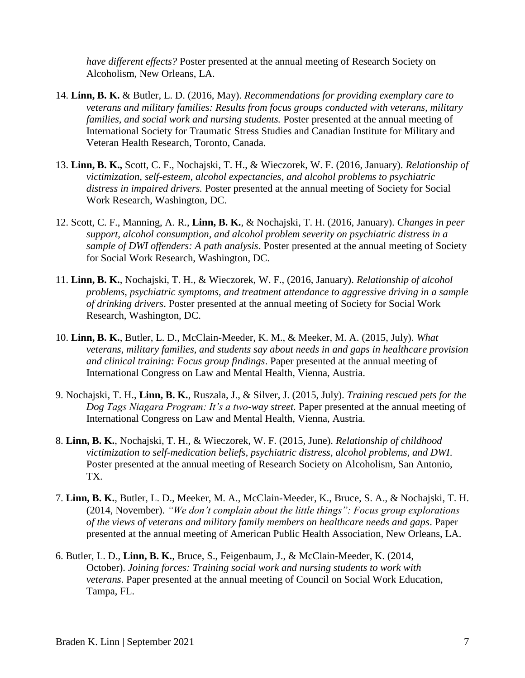*have different effects?* Poster presented at the annual meeting of Research Society on Alcoholism, New Orleans, LA.

- 14. **Linn, B. K.** & Butler, L. D. (2016, May). *Recommendations for providing exemplary care to veterans and military families: Results from focus groups conducted with veterans, military families, and social work and nursing students.* Poster presented at the annual meeting of International Society for Traumatic Stress Studies and Canadian Institute for Military and Veteran Health Research, Toronto, Canada.
- 13. **Linn, B. K.,** Scott, C. F., Nochajski, T. H., & Wieczorek, W. F. (2016, January). *Relationship of victimization, self-esteem, alcohol expectancies, and alcohol problems to psychiatric distress in impaired drivers.* Poster presented at the annual meeting of Society for Social Work Research, Washington, DC.
- 12. Scott, C. F., Manning, A. R., **Linn, B. K.**, & Nochajski, T. H. (2016, January). *Changes in peer support, alcohol consumption, and alcohol problem severity on psychiatric distress in a sample of DWI offenders: A path analysis*. Poster presented at the annual meeting of Society for Social Work Research, Washington, DC.
- 11. **Linn, B. K.**, Nochajski, T. H., & Wieczorek, W. F., (2016, January). *Relationship of alcohol problems, psychiatric symptoms, and treatment attendance to aggressive driving in a sample of drinking drivers*. Poster presented at the annual meeting of Society for Social Work Research, Washington, DC.
- 10. **Linn, B. K.**, Butler, L. D., McClain-Meeder, K. M., & Meeker, M. A. (2015, July). *What veterans, military families, and students say about needs in and gaps in healthcare provision and clinical training: Focus group findings*. Paper presented at the annual meeting of International Congress on Law and Mental Health, Vienna, Austria.
- 9. Nochajski, T. H., **Linn, B. K.**, Ruszala, J., & Silver, J. (2015, July). *Training rescued pets for the Dog Tags Niagara Program: It's a two-way street.* Paper presented at the annual meeting of International Congress on Law and Mental Health, Vienna, Austria.
- 8. **Linn, B. K.**, Nochajski, T. H., & Wieczorek, W. F. (2015, June). *Relationship of childhood victimization to self-medication beliefs, psychiatric distress, alcohol problems, and DWI*. Poster presented at the annual meeting of Research Society on Alcoholism, San Antonio, TX.
- 7. **Linn, B. K.**, Butler, L. D., Meeker, M. A., McClain-Meeder, K., Bruce, S. A., & Nochajski, T. H. (2014, November). *"We don't complain about the little things": Focus group explorations of the views of veterans and military family members on healthcare needs and gaps*. Paper presented at the annual meeting of American Public Health Association, New Orleans, LA.
- 6. Butler, L. D., **Linn, B. K.**, Bruce, S., Feigenbaum, J., & McClain-Meeder, K. (2014, October). *Joining forces: Training social work and nursing students to work with veterans*. Paper presented at the annual meeting of Council on Social Work Education, Tampa, FL.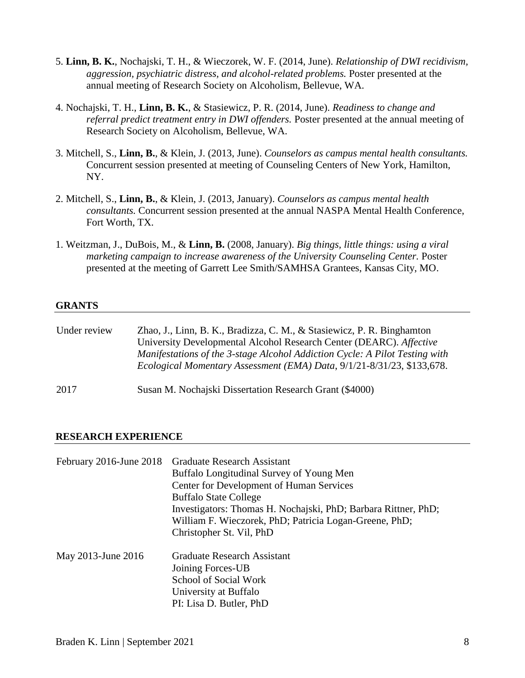- 5. **Linn, B. K.**, Nochajski, T. H., & Wieczorek, W. F. (2014, June). *Relationship of DWI recidivism, aggression, psychiatric distress, and alcohol-related problems.* Poster presented at the annual meeting of Research Society on Alcoholism, Bellevue, WA.
- 4. Nochajski, T. H., **Linn, B. K.**, & Stasiewicz, P. R. (2014, June). *Readiness to change and referral predict treatment entry in DWI offenders.* Poster presented at the annual meeting of Research Society on Alcoholism, Bellevue, WA.
- 3. Mitchell, S., **Linn, B.**, & Klein, J. (2013, June). *Counselors as campus mental health consultants.*  Concurrent session presented at meeting of Counseling Centers of New York, Hamilton, NY.
- 2. Mitchell, S., **Linn, B.**, & Klein, J. (2013, January). *Counselors as campus mental health consultants.* Concurrent session presented at the annual NASPA Mental Health Conference, Fort Worth, TX.
- 1. Weitzman, J., DuBois, M., & **Linn, B.** (2008, January). *Big things, little things: using a viral marketing campaign to increase awareness of the University Counseling Center.* Poster presented at the meeting of Garrett Lee Smith/SAMHSA Grantees, Kansas City, MO.

# **GRANTS**

| Under review | Zhao, J., Linn, B. K., Bradizza, C. M., & Stasiewicz, P. R. Binghamton<br>University Developmental Alcohol Research Center (DEARC). Affective<br>Manifestations of the 3-stage Alcohol Addiction Cycle: A Pilot Testing with<br>Ecological Momentary Assessment (EMA) Data, 9/1/21-8/31/23, \$133,678. |
|--------------|--------------------------------------------------------------------------------------------------------------------------------------------------------------------------------------------------------------------------------------------------------------------------------------------------------|
| 2017         | Susan M. Nochajski Dissertation Research Grant (\$4000)                                                                                                                                                                                                                                                |

# **RESEARCH EXPERIENCE**

| February 2016-June 2018 | <b>Graduate Research Assistant</b>                             |  |  |
|-------------------------|----------------------------------------------------------------|--|--|
|                         | Buffalo Longitudinal Survey of Young Men                       |  |  |
|                         | Center for Development of Human Services                       |  |  |
|                         | <b>Buffalo State College</b>                                   |  |  |
|                         | Investigators: Thomas H. Nochajski, PhD; Barbara Rittner, PhD; |  |  |
|                         | William F. Wieczorek, PhD; Patricia Logan-Greene, PhD;         |  |  |
|                         | Christopher St. Vil, PhD                                       |  |  |
| May 2013-June 2016      | <b>Graduate Research Assistant</b>                             |  |  |
|                         | Joining Forces-UB                                              |  |  |
|                         | School of Social Work                                          |  |  |
|                         | University at Buffalo                                          |  |  |
|                         | PI: Lisa D. Butler, PhD                                        |  |  |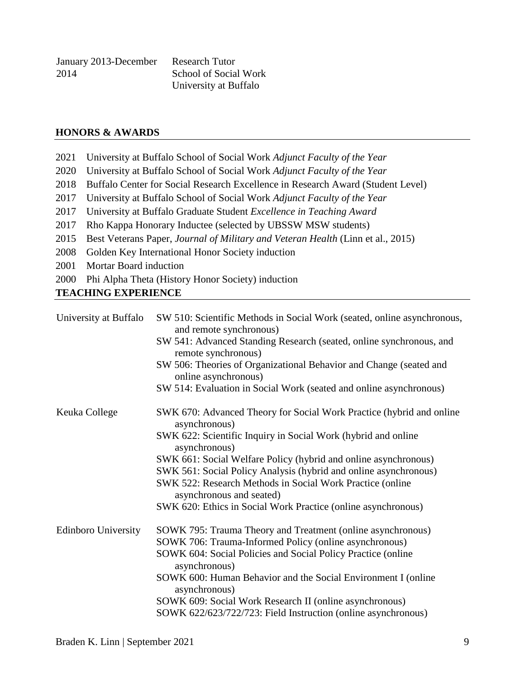| January 2013-December | <b>Research Tutor</b> |
|-----------------------|-----------------------|
| 2014                  | School of Social Work |
|                       | University at Buffalo |

## **HONORS & AWARDS**

- 2021 University at Buffalo School of Social Work *Adjunct Faculty of the Year*
- 2020 University at Buffalo School of Social Work *Adjunct Faculty of the Year*
- 2018 Buffalo Center for Social Research Excellence in Research Award (Student Level)
- 2017 University at Buffalo School of Social Work *Adjunct Faculty of the Year*
- 2017 University at Buffalo Graduate Student *Excellence in Teaching Award*
- 2017 Rho Kappa Honorary Inductee (selected by UBSSW MSW students)
- 2015 Best Veterans Paper, *Journal of Military and Veteran Health* (Linn et al., 2015)
- 2008 Golden Key International Honor Society induction
- 2001 Mortar Board induction
- 2000 Phi Alpha Theta (History Honor Society) induction

## **TEACHING EXPERIENCE**

| University at Buffalo      | SW 510: Scientific Methods in Social Work (seated, online asynchronous,<br>and remote synchronous) |
|----------------------------|----------------------------------------------------------------------------------------------------|
|                            | SW 541: Advanced Standing Research (seated, online synchronous, and<br>remote synchronous)         |
|                            | SW 506: Theories of Organizational Behavior and Change (seated and<br>online asynchronous)         |
|                            | SW 514: Evaluation in Social Work (seated and online asynchronous)                                 |
| Keuka College              | SWK 670: Advanced Theory for Social Work Practice (hybrid and online<br>asynchronous)              |
|                            | SWK 622: Scientific Inquiry in Social Work (hybrid and online<br>asynchronous)                     |
|                            | SWK 661: Social Welfare Policy (hybrid and online asynchronous)                                    |
|                            | SWK 561: Social Policy Analysis (hybrid and online asynchronous)                                   |
|                            | SWK 522: Research Methods in Social Work Practice (online<br>asynchronous and seated)              |
|                            | SWK 620: Ethics in Social Work Practice (online asynchronous)                                      |
| <b>Edinboro University</b> | SOWK 795: Trauma Theory and Treatment (online asynchronous)                                        |
|                            | SOWK 706: Trauma-Informed Policy (online asynchronous)                                             |
|                            | SOWK 604: Social Policies and Social Policy Practice (online<br>asynchronous)                      |
|                            | SOWK 600: Human Behavior and the Social Environment I (online<br>asynchronous)                     |
|                            | SOWK 609: Social Work Research II (online asynchronous)                                            |
|                            | SOWK 622/623/722/723: Field Instruction (online asynchronous)                                      |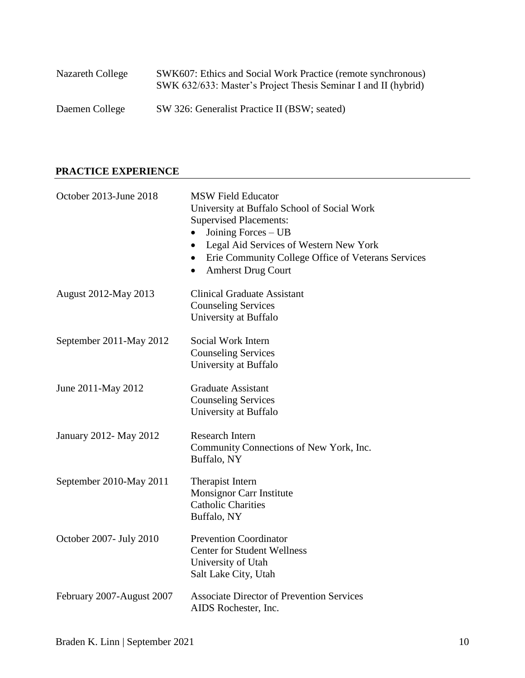| Nazareth College | SWK607: Ethics and Social Work Practice (remote synchronous)<br>SWK 632/633: Master's Project Thesis Seminar I and II (hybrid) |
|------------------|--------------------------------------------------------------------------------------------------------------------------------|
| Daemen College   | SW 326: Generalist Practice II (BSW; seated)                                                                                   |

# **PRACTICE EXPERIENCE**

| October 2013-June 2018    | <b>MSW Field Educator</b><br>University at Buffalo School of Social Work<br><b>Supervised Placements:</b><br>Joining Forces - UB<br>٠<br>Legal Aid Services of Western New York<br>$\bullet$<br>Erie Community College Office of Veterans Services<br>$\bullet$<br><b>Amherst Drug Court</b><br>٠ |
|---------------------------|---------------------------------------------------------------------------------------------------------------------------------------------------------------------------------------------------------------------------------------------------------------------------------------------------|
| August 2012-May 2013      | <b>Clinical Graduate Assistant</b><br><b>Counseling Services</b><br>University at Buffalo                                                                                                                                                                                                         |
| September 2011-May 2012   | Social Work Intern<br><b>Counseling Services</b><br>University at Buffalo                                                                                                                                                                                                                         |
| June 2011-May 2012        | <b>Graduate Assistant</b><br><b>Counseling Services</b><br>University at Buffalo                                                                                                                                                                                                                  |
| January 2012- May 2012    | <b>Research Intern</b><br>Community Connections of New York, Inc.<br>Buffalo, NY                                                                                                                                                                                                                  |
| September 2010-May 2011   | Therapist Intern<br><b>Monsignor Carr Institute</b><br><b>Catholic Charities</b><br>Buffalo, NY                                                                                                                                                                                                   |
| October 2007- July 2010   | <b>Prevention Coordinator</b><br><b>Center for Student Wellness</b><br>University of Utah<br>Salt Lake City, Utah                                                                                                                                                                                 |
| February 2007-August 2007 | <b>Associate Director of Prevention Services</b><br>AIDS Rochester, Inc.                                                                                                                                                                                                                          |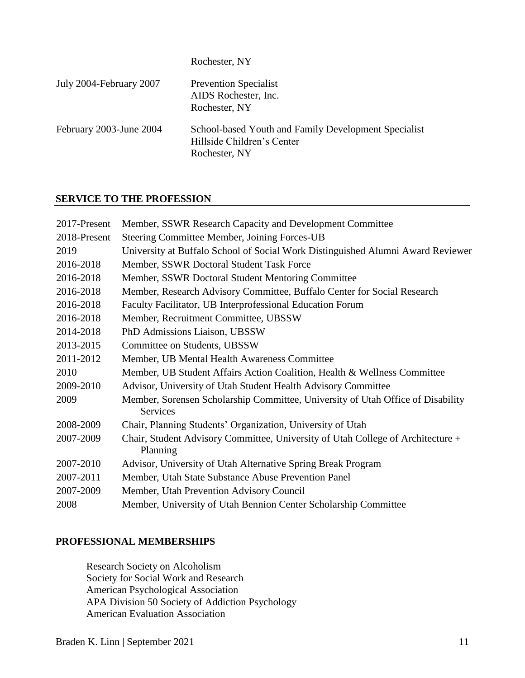| Rochester, NY |  |
|---------------|--|
|               |  |

| July 2004-February 2007 | <b>Prevention Specialist</b><br>AIDS Rochester, Inc.<br>Rochester, NY                               |
|-------------------------|-----------------------------------------------------------------------------------------------------|
| February 2003-June 2004 | School-based Youth and Family Development Specialist<br>Hillside Children's Center<br>Rochester, NY |

# **SERVICE TO THE PROFESSION**

| Member, SSWR Research Capacity and Development Committee                                    |
|---------------------------------------------------------------------------------------------|
| Steering Committee Member, Joining Forces-UB                                                |
| University at Buffalo School of Social Work Distinguished Alumni Award Reviewer             |
| Member, SSWR Doctoral Student Task Force                                                    |
| Member, SSWR Doctoral Student Mentoring Committee                                           |
| Member, Research Advisory Committee, Buffalo Center for Social Research                     |
| Faculty Facilitator, UB Interprofessional Education Forum                                   |
| Member, Recruitment Committee, UBSSW                                                        |
| PhD Admissions Liaison, UBSSW                                                               |
| Committee on Students, UBSSW                                                                |
| Member, UB Mental Health Awareness Committee                                                |
| Member, UB Student Affairs Action Coalition, Health & Wellness Committee                    |
| Advisor, University of Utah Student Health Advisory Committee                               |
| Member, Sorensen Scholarship Committee, University of Utah Office of Disability<br>Services |
| Chair, Planning Students' Organization, University of Utah                                  |
| Chair, Student Advisory Committee, University of Utah College of Architecture +<br>Planning |
| Advisor, University of Utah Alternative Spring Break Program                                |
| Member, Utah State Substance Abuse Prevention Panel                                         |
| Member, Utah Prevention Advisory Council                                                    |
| Member, University of Utah Bennion Center Scholarship Committee                             |
|                                                                                             |

# **PROFESSIONAL MEMBERSHIPS**

Research Society on Alcoholism Society for Social Work and Research American Psychological Association APA Division 50 Society of Addiction Psychology American Evaluation Association